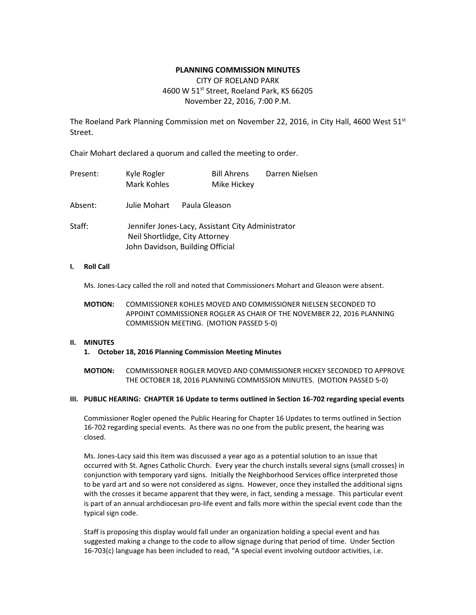# **PLANNING COMMISSION MINUTES**

# CITY OF ROELAND PARK 4600 W 51<sup>st</sup> Street, Roeland Park, KS 66205 November 22, 2016, 7:00 P.M.

The Roeland Park Planning Commission met on November 22, 2016, in City Hall, 4600 West 51st Street.

Chair Mohart declared a quorum and called the meeting to order.

| Present: | Kyle Rogler<br><b>Mark Kohles</b>                                                                                       |               | <b>Bill Ahrens</b><br>Mike Hickey | Darren Nielsen |  |  |  |
|----------|-------------------------------------------------------------------------------------------------------------------------|---------------|-----------------------------------|----------------|--|--|--|
| Absent:  | Julie Mohart                                                                                                            | Paula Gleason |                                   |                |  |  |  |
| Staff:   | Jennifer Jones-Lacy, Assistant City Administrator<br>Neil Shortlidge, City Attorney<br>John Davidson, Building Official |               |                                   |                |  |  |  |

### **I. Roll Call**

Ms. Jones-Lacy called the roll and noted that Commissioners Mohart and Gleason were absent.

**MOTION:** COMMISSIONER KOHLES MOVED AND COMMISSIONER NIELSEN SECONDED TO APPOINT COMMISSIONER ROGLER AS CHAIR OF THE NOVEMBER 22, 2016 PLANNING COMMISSION MEETING. (MOTION PASSED 5-0)

# **II. MINUTES**

# **1. October 18, 2016 Planning Commission Meeting Minutes**

**MOTION:** COMMISSIONER ROGLER MOVED AND COMMISSIONER HICKEY SECONDED TO APPROVE THE OCTOBER 18, 2016 PLANNING COMMISSION MINUTES. (MOTION PASSED 5-0)

# **III. PUBLIC HEARING: CHAPTER 16 Update to terms outlined in Section 16-702 regarding special events**

Commissioner Rogler opened the Public Hearing for Chapter 16 Updates to terms outlined in Section 16-702 regarding special events. As there was no one from the public present, the hearing was closed.

Ms. Jones-Lacy said this item was discussed a year ago as a potential solution to an issue that occurred with St. Agnes Catholic Church. Every year the church installs several signs (small crosses) in conjunction with temporary yard signs. Initially the Neighborhood Services office interpreted those to be yard art and so were not considered as signs. However, once they installed the additional signs with the crosses it became apparent that they were, in fact, sending a message. This particular event is part of an annual archdiocesan pro-life event and falls more within the special event code than the typical sign code.

Staff is proposing this display would fall under an organization holding a special event and has suggested making a change to the code to allow signage during that period of time. Under Section 16-703(c) language has been included to read, "A special event involving outdoor activities, i.e.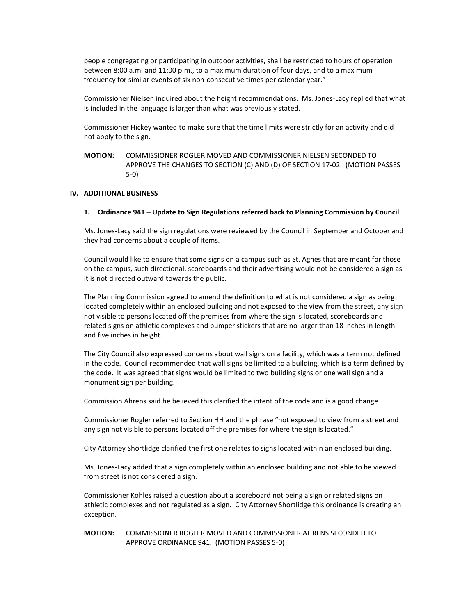people congregating or participating in outdoor activities, shall be restricted to hours of operation between 8:00 a.m. and 11:00 p.m., to a maximum duration of four days, and to a maximum frequency for similar events of six non-consecutive times per calendar year."

Commissioner Nielsen inquired about the height recommendations. Ms. Jones-Lacy replied that what is included in the language is larger than what was previously stated.

Commissioner Hickey wanted to make sure that the time limits were strictly for an activity and did not apply to the sign.

**MOTION:** COMMISSIONER ROGLER MOVED AND COMMISSIONER NIELSEN SECONDED TO APPROVE THE CHANGES TO SECTION (C) AND (D) OF SECTION 17-02. (MOTION PASSES 5-0)

### **IV. ADDITIONAL BUSINESS**

#### **1. Ordinance 941 – Update to Sign Regulations referred back to Planning Commission by Council**

Ms. Jones-Lacy said the sign regulations were reviewed by the Council in September and October and they had concerns about a couple of items.

Council would like to ensure that some signs on a campus such as St. Agnes that are meant for those on the campus, such directional, scoreboards and their advertising would not be considered a sign as it is not directed outward towards the public.

The Planning Commission agreed to amend the definition to what is not considered a sign as being located completely within an enclosed building and not exposed to the view from the street, any sign not visible to persons located off the premises from where the sign is located, scoreboards and related signs on athletic complexes and bumper stickers that are no larger than 18 inches in length and five inches in height.

The City Council also expressed concerns about wall signs on a facility, which was a term not defined in the code. Council recommended that wall signs be limited to a building, which is a term defined by the code. It was agreed that signs would be limited to two building signs or one wall sign and a monument sign per building.

Commission Ahrens said he believed this clarified the intent of the code and is a good change.

Commissioner Rogler referred to Section HH and the phrase "not exposed to view from a street and any sign not visible to persons located off the premises for where the sign is located."

City Attorney Shortlidge clarified the first one relates to signs located within an enclosed building.

Ms. Jones-Lacy added that a sign completely within an enclosed building and not able to be viewed from street is not considered a sign.

Commissioner Kohles raised a question about a scoreboard not being a sign or related signs on athletic complexes and not regulated as a sign. City Attorney Shortlidge this ordinance is creating an exception.

**MOTION:** COMMISSIONER ROGLER MOVED AND COMMISSIONER AHRENS SECONDED TO APPROVE ORDINANCE 941. (MOTION PASSES 5-0)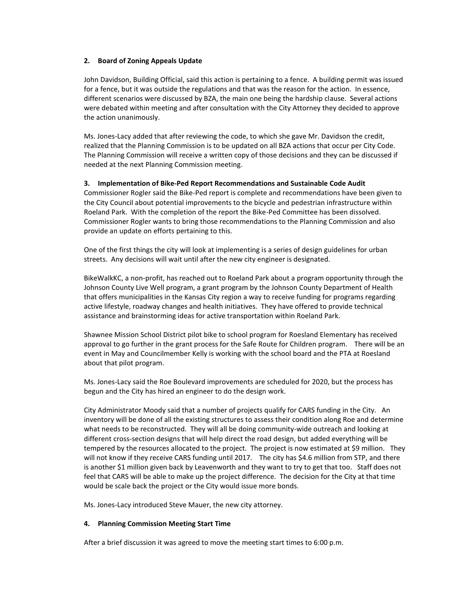### **2. Board of Zoning Appeals Update**

John Davidson, Building Official, said this action is pertaining to a fence. A building permit was issued for a fence, but it was outside the regulations and that was the reason for the action. In essence, different scenarios were discussed by BZA, the main one being the hardship clause. Several actions were debated within meeting and after consultation with the City Attorney they decided to approve the action unanimously.

Ms. Jones-Lacy added that after reviewing the code, to which she gave Mr. Davidson the credit, realized that the Planning Commission is to be updated on all BZA actions that occur per City Code. The Planning Commission will receive a written copy of those decisions and they can be discussed if needed at the next Planning Commission meeting.

### **3. Implementation of Bike-Ped Report Recommendations and Sustainable Code Audit**

Commissioner Rogler said the Bike-Ped report is complete and recommendations have been given to the City Council about potential improvements to the bicycle and pedestrian infrastructure within Roeland Park. With the completion of the report the Bike-Ped Committee has been dissolved. Commissioner Rogler wants to bring those recommendations to the Planning Commission and also provide an update on efforts pertaining to this.

One of the first things the city will look at implementing is a series of design guidelines for urban streets. Any decisions will wait until after the new city engineer is designated.

BikeWalkKC, a non-profit, has reached out to Roeland Park about a program opportunity through the Johnson County Live Well program, a grant program by the Johnson County Department of Health that offers municipalities in the Kansas City region a way to receive funding for programs regarding active lifestyle, roadway changes and health initiatives. They have offered to provide technical assistance and brainstorming ideas for active transportation within Roeland Park.

Shawnee Mission School District pilot bike to school program for Roesland Elementary has received approval to go further in the grant process for the Safe Route for Children program. There will be an event in May and Councilmember Kelly is working with the school board and the PTA at Roesland about that pilot program.

Ms. Jones-Lacy said the Roe Boulevard improvements are scheduled for 2020, but the process has begun and the City has hired an engineer to do the design work.

City Administrator Moody said that a number of projects qualify for CARS funding in the City. An inventory will be done of all the existing structures to assess their condition along Roe and determine what needs to be reconstructed. They will all be doing community-wide outreach and looking at different cross-section designs that will help direct the road design, but added everything will be tempered by the resources allocated to the project. The project is now estimated at \$9 million. They will not know if they receive CARS funding until 2017. The city has \$4.6 million from STP, and there is another \$1 million given back by Leavenworth and they want to try to get that too. Staff does not feel that CARS will be able to make up the project difference. The decision for the City at that time would be scale back the project or the City would issue more bonds.

Ms. Jones-Lacy introduced Steve Mauer, the new city attorney.

# **4. Planning Commission Meeting Start Time**

After a brief discussion it was agreed to move the meeting start times to 6:00 p.m.